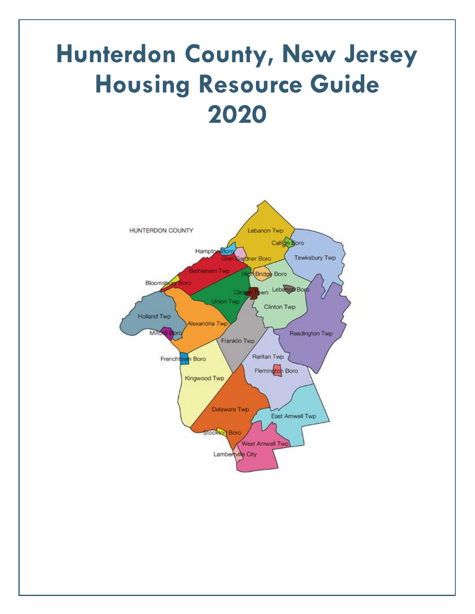# **Hunterdon County, New Jersey Housing Resource Guide 2020**

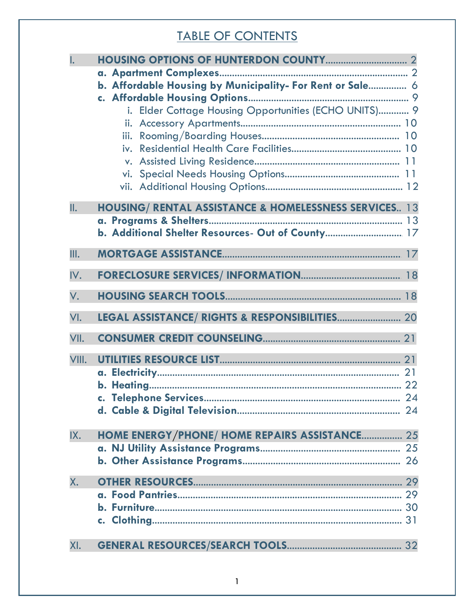# TABLE OF CONTENTS

| Ī.    |                                                                  |  |
|-------|------------------------------------------------------------------|--|
|       |                                                                  |  |
|       | b. Affordable Housing by Municipality- For Rent or Sale 6        |  |
|       |                                                                  |  |
|       | i. Elder Cottage Housing Opportunities (ECHO UNITS) 9            |  |
|       |                                                                  |  |
|       |                                                                  |  |
|       |                                                                  |  |
|       |                                                                  |  |
|       |                                                                  |  |
| II.   |                                                                  |  |
|       | <b>HOUSING/ RENTAL ASSISTANCE &amp; HOMELESSNESS SERVICES 13</b> |  |
|       | b. Additional Shelter Resources- Out of County 17                |  |
|       |                                                                  |  |
| III.  |                                                                  |  |
| IV.   |                                                                  |  |
| V.    |                                                                  |  |
| VI.   |                                                                  |  |
| VII.  |                                                                  |  |
| VIII. |                                                                  |  |
|       |                                                                  |  |
|       |                                                                  |  |
|       |                                                                  |  |
|       |                                                                  |  |
| IX.   | HOME ENERGY/PHONE/ HOME REPAIRS ASSISTANCE 25                    |  |
|       |                                                                  |  |
|       |                                                                  |  |
| Χ.    |                                                                  |  |
|       |                                                                  |  |
|       |                                                                  |  |
|       |                                                                  |  |
| XI.   |                                                                  |  |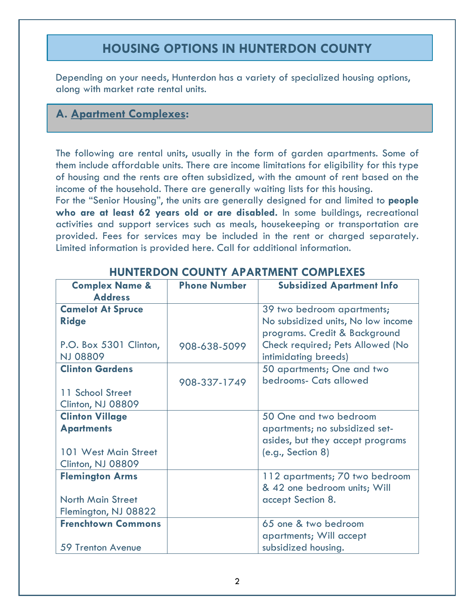# **HOUSING OPTIONS IN HUNTERDON COUNTY**

Depending on your needs, Hunterdon has a variety of specialized housing options, along with market rate rental units.

# **A. Apartment Complexes:**

The following are rental units, usually in the form of garden apartments. Some of them include affordable units. There are income limitations for eligibility for this type of housing and the rents are often subsidized, with the amount of rent based on the income of the household. There are generally waiting lists for this housing.

For the "Senior Housing", the units are generally designed for and limited to **people who are at least 62 years old or are disabled.** In some buildings, recreational activities and support services such as meals, housekeeping or transportation are provided. Fees for services may be included in the rent or charged separately. Limited information is provided here. Call for additional information.

| <b>Complex Name &amp;</b><br><b>Address</b> | <b>Phone Number</b> | <b>Subsidized Apartment Info</b>                         |
|---------------------------------------------|---------------------|----------------------------------------------------------|
| <b>Camelot At Spruce</b>                    |                     | 39 two bedroom apartments;                               |
| <b>Ridge</b>                                |                     | No subsidized units, No low income                       |
|                                             |                     | programs. Credit & Background                            |
| P.O. Box 5301 Clinton,<br><b>NJ 08809</b>   | 908-638-5099        | Check required; Pets Allowed (No<br>intimidating breeds) |
| <b>Clinton Gardens</b>                      |                     | 50 apartments; One and two                               |
|                                             | 908-337-1749        | bedrooms- Cats allowed                                   |
| 11 School Street                            |                     |                                                          |
| Clinton, NJ 08809                           |                     |                                                          |
| <b>Clinton Village</b>                      |                     | 50 One and two bedroom                                   |
| <b>Apartments</b>                           |                     | apartments; no subsidized set-                           |
|                                             |                     | asides, but they accept programs                         |
| 101 West Main Street                        |                     | (e.g., Section 8)                                        |
| Clinton, NJ 08809                           |                     |                                                          |
| <b>Flemington Arms</b>                      |                     | 112 apartments; 70 two bedroom                           |
|                                             |                     | & 42 one bedroom units; Will                             |
| <b>North Main Street</b>                    |                     | accept Section 8.                                        |
| Flemington, NJ 08822                        |                     |                                                          |
| <b>Frenchtown Commons</b>                   |                     | 65 one & two bedroom                                     |
|                                             |                     | apartments; Will accept                                  |
| <b>59 Trenton Avenue</b>                    |                     | subsidized housing.                                      |

# **HUNTERDON COUNTY APARTMENT COMPLEXES**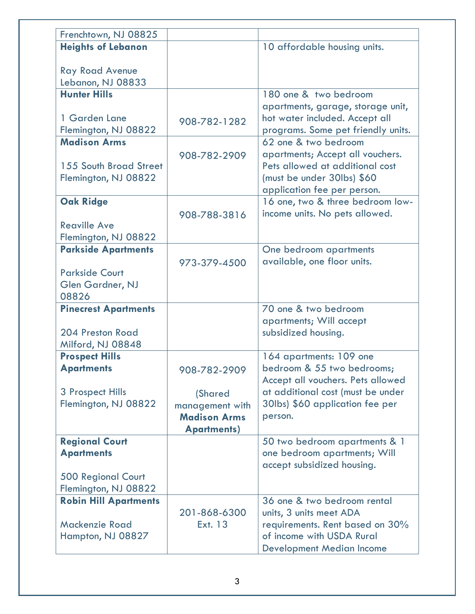| Frenchtown, NJ 08825         |                     |                                                                     |
|------------------------------|---------------------|---------------------------------------------------------------------|
| <b>Heights of Lebanon</b>    |                     | 10 affordable housing units.                                        |
|                              |                     |                                                                     |
| <b>Ray Road Avenue</b>       |                     |                                                                     |
| Lebanon, NJ 08833            |                     |                                                                     |
| <b>Hunter Hills</b>          |                     | 180 one & two bedroom                                               |
| 1 Garden Lane                |                     | apartments, garage, storage unit,<br>hot water included. Accept all |
| Flemington, NJ 08822         | 908-782-1282        | programs. Some pet friendly units.                                  |
| <b>Madison Arms</b>          |                     | 62 one & two bedroom                                                |
|                              | 908-782-2909        | apartments; Accept all vouchers.                                    |
| 155 South Broad Street       |                     | Pets allowed at additional cost                                     |
| Flemington, NJ 08822         |                     | (must be under 30lbs) \$60                                          |
|                              |                     | application fee per person.                                         |
| <b>Oak Ridge</b>             |                     | 16 one, two & three bedroom low-                                    |
|                              | 908-788-3816        | income units. No pets allowed.                                      |
| <b>Reaville Ave</b>          |                     |                                                                     |
| Flemington, NJ 08822         |                     |                                                                     |
| <b>Parkside Apartments</b>   |                     | One bedroom apartments                                              |
|                              | 973-379-4500        | available, one floor units.                                         |
| <b>Parkside Court</b>        |                     |                                                                     |
| Glen Gardner, NJ<br>08826    |                     |                                                                     |
| <b>Pinecrest Apartments</b>  |                     | 70 one & two bedroom                                                |
|                              |                     | apartments; Will accept                                             |
| 204 Preston Road             |                     | subsidized housing.                                                 |
| Milford, NJ 08848            |                     |                                                                     |
| <b>Prospect Hills</b>        |                     | 164 apartments: 109 one                                             |
| <b>Apartments</b>            | 908-782-2909        | bedroom & 55 two bedrooms;                                          |
|                              |                     | Accept all vouchers. Pets allowed                                   |
| 3 Prospect Hills             | (Shared             | at additional cost (must be under                                   |
| Flemington, NJ 08822         | management with     | 30lbs) \$60 application fee per                                     |
|                              | <b>Madison Arms</b> | person.                                                             |
|                              | <b>Apartments)</b>  |                                                                     |
| <b>Regional Court</b>        |                     | 50 two bedroom apartments & 1                                       |
| <b>Apartments</b>            |                     | one bedroom apartments; Will<br>accept subsidized housing.          |
| <b>500 Regional Court</b>    |                     |                                                                     |
| Flemington, NJ 08822         |                     |                                                                     |
| <b>Robin Hill Apartments</b> |                     | 36 one & two bedroom rental                                         |
|                              | 201-868-6300        | units, 3 units meet ADA                                             |
| Mackenzie Road               | Ext. 13             | requirements. Rent based on 30%                                     |
| Hampton, NJ 08827            |                     | of income with USDA Rural                                           |
|                              |                     | <b>Development Median Income</b>                                    |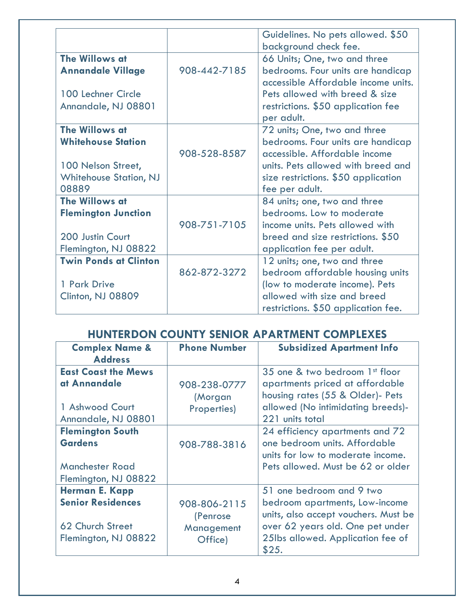|                               |              | Guidelines. No pets allowed. \$50<br>background check fee. |
|-------------------------------|--------------|------------------------------------------------------------|
| The Willows at                |              | 66 Units; One, two and three                               |
| <b>Annandale Village</b>      | 908-442-7185 | bedrooms. Four units are handicap                          |
|                               |              | accessible Affordable income units.                        |
| 100 Lechner Circle            |              | Pets allowed with breed & size                             |
| Annandale, NJ 08801           |              | restrictions. \$50 application fee                         |
|                               |              | per adult.                                                 |
| The Willows at                |              | 72 units; One, two and three                               |
| <b>Whitehouse Station</b>     |              | bedrooms. Four units are handicap                          |
|                               | 908-528-8587 | accessible. Affordable income                              |
| 100 Nelson Street,            |              | units. Pets allowed with breed and                         |
| <b>Whitehouse Station, NJ</b> |              | size restrictions. \$50 application                        |
| 08889                         |              | fee per adult.                                             |
| The Willows at                |              | 84 units; one, two and three                               |
| <b>Flemington Junction</b>    |              | bedrooms. Low to moderate                                  |
|                               | 908-751-7105 | income units. Pets allowed with                            |
| 200 Justin Court              |              | breed and size restrictions. \$50                          |
| Flemington, NJ 08822          |              | application fee per adult.                                 |
| <b>Twin Ponds at Clinton</b>  |              | 12 units; one, two and three                               |
|                               | 862-872-3272 | bedroom affordable housing units                           |
| 1 Park Drive                  |              | (low to moderate income). Pets                             |
| Clinton, NJ 08809             |              | allowed with size and breed                                |
|                               |              | restrictions. \$50 application fee.                        |

# **HUNTERDON COUNTY SENIOR APARTMENT COMPLEXES**

| <b>Complex Name &amp;</b>  | <b>Phone Number</b> | <b>Subsidized Apartment Info</b>           |
|----------------------------|---------------------|--------------------------------------------|
| <b>Address</b>             |                     |                                            |
| <b>East Coast the Mews</b> |                     | 35 one & two bedroom 1st floor             |
| at Annandale               | 908-238-0777        | apartments priced at affordable            |
|                            | (Morgan             | housing rates (55 & Older)- Pets           |
| 1 Ashwood Court            | Properties)         | allowed (No intimidating breeds)-          |
| Annandale, NJ 08801        |                     | 221 units total                            |
| <b>Flemington South</b>    |                     | 24 efficiency apartments and 72            |
| <b>Gardens</b>             | 908-788-3816        | one bedroom units. Affordable              |
|                            |                     | units for low to moderate income.          |
| <b>Manchester Road</b>     |                     | Pets allowed. Must be 62 or older          |
| Flemington, NJ 08822       |                     |                                            |
| <b>Herman E. Kapp</b>      |                     | 51 one bedroom and 9 two                   |
| <b>Senior Residences</b>   | 908-806-2115        | bedroom apartments, Low-income             |
|                            | (Penrose            | units, also accept vouchers. Must be       |
| 62 Church Street           | Management          | over 62 years old. One pet under           |
| Flemington, NJ 08822       | Office)             | 25lbs allowed. Application fee of<br>\$25. |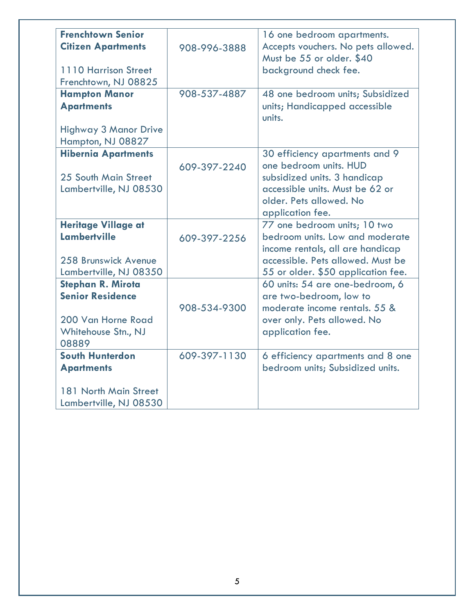| <b>Frenchtown Senior</b>     |              | 16 one bedroom apartments.              |
|------------------------------|--------------|-----------------------------------------|
| <b>Citizen Apartments</b>    |              | Accepts vouchers. No pets allowed.      |
|                              | 908-996-3888 | Must be 55 or older. \$40               |
| 1110 Harrison Street         |              |                                         |
|                              |              | background check fee.                   |
| Frenchtown, NJ 08825         |              |                                         |
| <b>Hampton Manor</b>         | 908-537-4887 | 48 one bedroom units; Subsidized        |
| <b>Apartments</b>            |              | units; Handicapped accessible<br>units. |
| <b>Highway 3 Manor Drive</b> |              |                                         |
| Hampton, NJ 08827            |              |                                         |
| <b>Hibernia Apartments</b>   |              | 30 efficiency apartments and 9          |
|                              | 609-397-2240 | one bedroom units. HUD                  |
| 25 South Main Street         |              | subsidized units. 3 handicap            |
| Lambertville, NJ 08530       |              | accessible units. Must be 62 or         |
|                              |              | older. Pets allowed. No                 |
|                              |              | application fee.                        |
| <b>Heritage Village at</b>   |              | 77 one bedroom units; 10 two            |
| <b>Lambertville</b>          | 609-397-2256 | bedroom units. Low and moderate         |
|                              |              | income rentals, all are handicap        |
| 258 Brunswick Avenue         |              | accessible. Pets allowed. Must be       |
| Lambertville, NJ 08350       |              | 55 or older. \$50 application fee.      |
| <b>Stephan R. Mirota</b>     |              | 60 units: 54 are one-bedroom, 6         |
| <b>Senior Residence</b>      |              | are two-bedroom, low to                 |
|                              | 908-534-9300 | moderate income rentals, 55 &           |
| 200 Van Horne Road           |              | over only. Pets allowed. No             |
| Whitehouse Stn., NJ          |              | application fee.                        |
| 08889                        |              |                                         |
| <b>South Hunterdon</b>       | 609-397-1130 | 6 efficiency apartments and 8 one       |
| <b>Apartments</b>            |              | bedroom units; Subsidized units.        |
| 181 North Main Street        |              |                                         |
| Lambertville, NJ 08530       |              |                                         |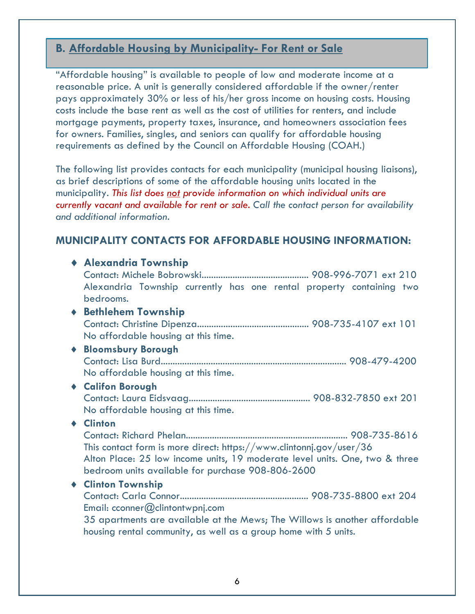# **B. Affordable Housing by Municipality- For Rent or Sale**

"Affordable housing" is available to people of low and moderate income at a reasonable price. A unit is generally considered affordable if the owner/renter pays approximately 30% or less of his/her gross income on housing costs. Housing costs include the base rent as well as the cost of utilities for renters, and include mortgage payments, property taxes, insurance, and homeowners association fees for owners. Families, singles, and seniors can qualify for affordable housing requirements as defined by the Council on Affordable Housing (COAH.)

The following list provides contacts for each municipality (municipal housing liaisons), as brief descriptions of some of the affordable housing units located in the municipality. *This list does not provide information on which individual units are currently vacant and available for rent or sale. Call the contact person for availability and additional information.*

# **MUNICIPALITY CONTACTS FOR AFFORDABLE HOUSING INFORMATION:**

| ◆ Alexandria Township                                                       |
|-----------------------------------------------------------------------------|
|                                                                             |
| Alexandria Township currently has one rental property containing two        |
| bedrooms.                                                                   |
| ◆ Bethlehem Township                                                        |
|                                                                             |
| No affordable housing at this time.                                         |
| <b>Bloomsbury Borough</b>                                                   |
|                                                                             |
| No affordable housing at this time.                                         |
| ◆ Califon Borough                                                           |
|                                                                             |
| No affordable housing at this time.                                         |
| ♦ Clinton                                                                   |
|                                                                             |
| This contact form is more direct: https://www.clintonnj.gov/user/36         |
| Alton Place: 25 low income units, 19 moderate level units. One, two & three |
| bedroom units available for purchase 908-806-2600                           |
| ◆ Clinton Township                                                          |
|                                                                             |
| Email: $c {conner} @$ clintontwpnj.com                                      |
| 35 apartments are available at the Mews; The Willows is another affordable  |
| housing rental community, as well as a group home with 5 units.             |
|                                                                             |
|                                                                             |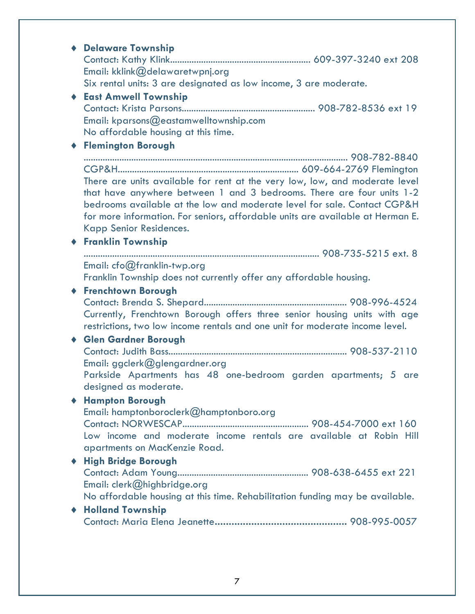# ¨ **Delaware Township** Contact: Kathy Klink........................................................... 609-397-3240 ext 208 Email: kklink@delawaretwpnj.org Six rental units: 3 are designated as low income, 3 are moderate. ¨ **East Amwell Township** Contact: Krista Parsons........................................................ 908-782-8536 ext 19 Email: kparsons@eastamwelltownship.com No affordable housing at this time. ¨ **Flemington Borough** ............................................................................................................... 908-782-8840 CGP&H............................................................................ 609-664-2769 Flemington There are units available for rent at the very low, low, and moderate level that have anywhere between 1 and 3 bedrooms. There are four units 1-2 bedrooms available at the low and moderate level for sale. Contact CGP&H for more information. For seniors, affordable units are available at Herman E. Kapp Senior Residences. ¨ **Franklin Township** ................................................................................................... 908-735-5215 ext. 8 Email: cfo@franklin-twp.org Franklin Township does not currently offer any affordable housing. ¨ **Frenchtown Borough** Contact: Brenda S. Shepard............................................................ 908-996-4524 Currently, Frenchtown Borough offers three senior housing units with age restrictions, two low income rentals and one unit for moderate income level. ¨ **Glen Gardner Borough** Contact: Judith Bass........................................................................... 908-537-2110 Email: ggclerk@glengardner.org Parkside Apartments has 48 one-bedroom garden apartments; 5 are designed as moderate. ¨ **Hampton Borough** Email: hamptonboroclerk@hamptonboro.org Contact: NORWESCAP..................................................... 908-454-7000 ext 160 Low income and moderate income rentals are available at Robin Hill apartments on MacKenzie Road. ¨ **High Bridge Borough** Contact: Adam Young....................................................... 908-638-6455 ext 221 Email: clerk@highbridge.org No affordable housing at this time. Rehabilitation funding may be available. ¨ **Holland Township** Contact: Maria Elena Jeanette**...............................................** 908-995-0057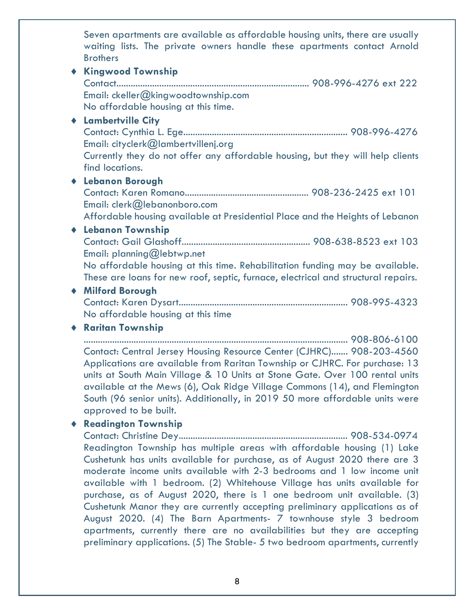Seven apartments are available as affordable housing units, there are usually waiting lists. The private owners handle these apartments contact Arnold **Brothers** 

◆ Kingwood Township Contact................................................................................. 908-996-4276 ext 222 Email: ckeller@kingwoodtownship.com No affordable housing at this time.

#### ¨ **Lambertville City**

Contact: Cynthia L. Ege..................................................................... 908-996-4276 Email: cityclerk@lambertvillenj.org

Currently they do not offer any affordable housing, but they will help clients find locations.

#### ¨ **Lebanon Borough**

Contact: Karen Romano.................................................... 908-236-2425 ext 101 Email: clerk@lebanonboro.com

Affordable housing available at Presidential Place and the Heights of Lebanon

#### ¨ **Lebanon Township**

Contact: Gail Glashoff...................................................... 908-638-8523 ext 103 Email: planning@lebtwp.net

No affordable housing at this time. Rehabilitation funding may be available. These are loans for new roof, septic, furnace, electrical and structural repairs.

#### ¨ **Milford Borough**

Contact: Karen Dysart....................................................................... 908-995-4323 No affordable housing at this time

#### ¨ **Raritan Township**

............................................................................................................... 908-806-6100 Contact: Central Jersey Housing Resource Center (CJHRC)....... 908-203-4560 Applications are available from Raritan Township or CJHRC. For purchase: 13 units at South Main Village & 10 Units at Stone Gate. Over 100 rental units available at the Mews (6), Oak Ridge Village Commons (14), and Flemington South (96 senior units). Additionally, in 2019 50 more affordable units were approved to be built.

#### ◆ **Readington Township**

Contact: Christine Dey....................................................................... 908-534-0974 Readington Township has multiple areas with affordable housing (1) Lake Cushetunk has units available for purchase, as of August 2020 there are 3 moderate income units available with 2-3 bedrooms and 1 low income unit available with 1 bedroom. (2) Whitehouse Village has units available for purchase, as of August 2020, there is 1 one bedroom unit available. (3) Cushetunk Manor they are currently accepting preliminary applications as of August 2020. (4) The Barn Apartments- 7 townhouse style 3 bedroom apartments, currently there are no availabilities but they are accepting preliminary applications. (5) The Stable- 5 two bedroom apartments, currently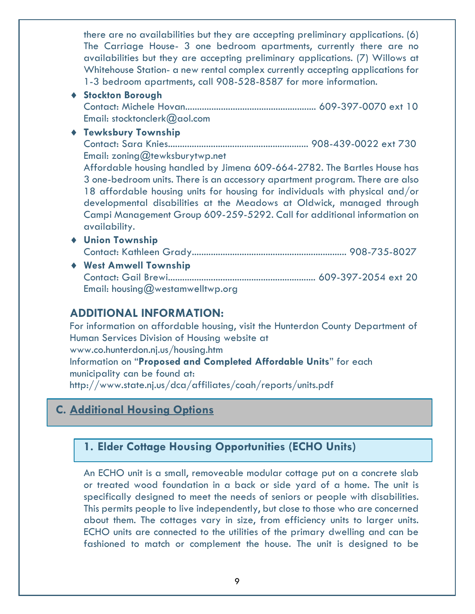there are no availabilities but they are accepting preliminary applications. (6) The Carriage House- 3 one bedroom apartments, currently there are no availabilities but they are accepting preliminary applications. (7) Willows at Whitehouse Station- a new rental complex currently accepting applications for 1-3 bedroom apartments, call 908-528-8587 for more information.

- ¨ **Stockton Borough** Contact: Michele Hovan....................................................... 609-397-0070 ext 10 Email: stocktonclerk@aol.com
- ¨ **Tewksbury Township**

Contact: Sara Knies........................................................... 908-439-0022 ext 730 Email: zoning@tewksburytwp.net

Affordable housing handled by Jimena 609-664-2782. The Bartles House has 3 one-bedroom units. There is an accessory apartment program. There are also 18 affordable housing units for housing for individuals with physical and/or developmental disabilities at the Meadows at Oldwick, managed through Campi Management Group 609-259-5292. Call for additional information on availability.

- ¨ **Union Township** Contact: Kathleen Grady................................................................. 908-735-8027
- ¨ **West Amwell Township** Contact: Gail Brewi.............................................................. 609-397-2054 ext 20 Email: housing@westamwelltwp.org

# **ADDITIONAL INFORMATION:**

For information on affordable housing, visit the Hunterdon County Department of Human Services Division of Housing website at www.co.hunterdon.nj.us/housing.htm Information on "**Proposed and Completed Affordable Units**" for each municipality can be found at: http://www.state.nj.us/dca/affiliates/coah/reports/units.pdf

# **C. Additional Housing Options**

# **1. Elder Cottage Housing Opportunities (ECHO Units)**

An ECHO unit is a small, removeable modular cottage put on a concrete slab or treated wood foundation in a back or side yard of a home. The unit is specifically designed to meet the needs of seniors or people with disabilities. This permits people to live independently, but close to those who are concerned about them. The cottages vary in size, from efficiency units to larger units. ECHO units are connected to the utilities of the primary dwelling and can be fashioned to match or complement the house. The unit is designed to be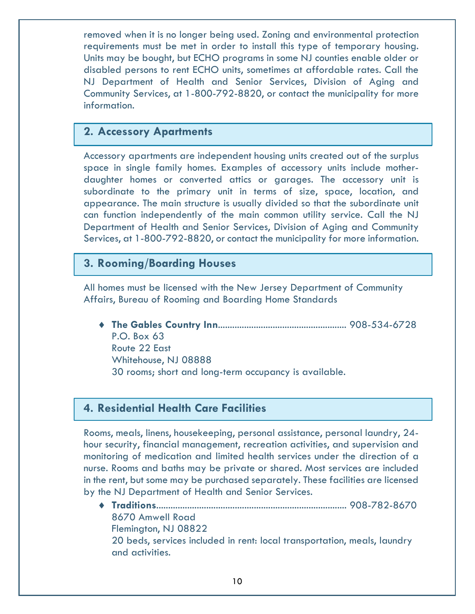removed when it is no longer being used. Zoning and environmental protection requirements must be met in order to install this type of temporary housing. Units may be bought, but ECHO programs in some NJ counties enable older or disabled persons to rent ECHO units, sometimes at affordable rates. Call the NJ Department of Health and Senior Services, Division of Aging and Community Services, at 1-800-792-8820, or contact the municipality for more information.

### **2. Accessory Apartments**

Accessory apartments are independent housing units created out of the surplus space in single family homes. Examples of accessory units include motherdaughter homes or converted attics or garages. The accessory unit is subordinate to the primary unit in terms of size, space, location, and appearance. The main structure is usually divided so that the subordinate unit can function independently of the main common utility service. Call the NJ Department of Health and Senior Services, Division of Aging and Community Services, at 1-800-792-8820, or contact the municipality for more information.

# **3. Rooming/Boarding Houses**

All homes must be licensed with the New Jersey Department of Community Affairs, Bureau of Rooming and Boarding Home Standards

¨ **The Gables Country Inn**...................................................... 908-534-6728 P.O. Box 63 Route 22 East Whitehouse, NJ 08888 30 rooms; short and long-term occupancy is available.

# **4. Residential Health Care Facilities**

Rooms, meals, linens, housekeeping, personal assistance, personal laundry, 24 hour security, financial management, recreation activities, and supervision and monitoring of medication and limited health services under the direction of a nurse. Rooms and baths may be private or shared. Most services are included in the rent, but some may be purchased separately. These facilities are licensed by the NJ Department of Health and Senior Services.

¨ **Traditions**................................................................................ 908-782-8670 8670 Amwell Road Flemington, NJ 08822 20 beds, services included in rent: local transportation, meals, laundry and activities.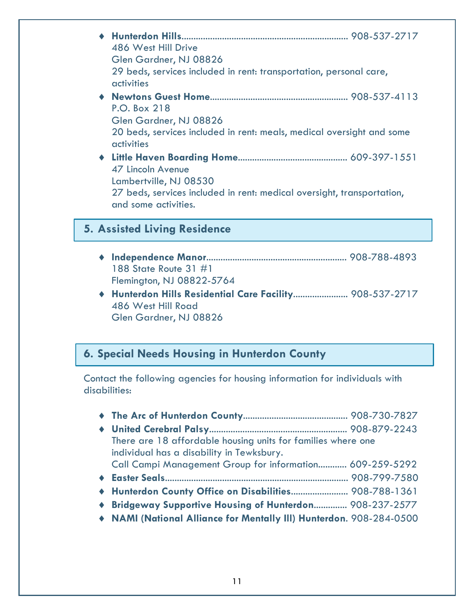| 486 West Hill Drive<br>Glen Gardner, NJ 08826<br>29 beds, services included in rent: transportation, personal care,<br>activities             |
|-----------------------------------------------------------------------------------------------------------------------------------------------|
| P.O. Box 218<br>Glen Gardner, NJ 08826<br>20 beds, services included in rent: meals, medical oversight and some<br>activities                 |
| 47 Lincoln Avenue<br>Lambertville, NJ 08530<br>27 beds, services included in rent: medical oversight, transportation,<br>and some activities. |

# **5. Assisted Living Residence**

- ¨ **Independence Manor**........................................................... 908-788-4893 188 State Route 31 #1 Flemington, NJ 08822-5764
- ¨ **Hunterdon Hills Residential Care Facility**....................... 908-537-2717 486 West Hill Road Glen Gardner, NJ 08826

# **6. Special Needs Housing in Hunterdon County**

Contact the following agencies for housing information for individuals with disabilities:

| There are 18 affordable housing units for families where one        |  |
|---------------------------------------------------------------------|--|
| individual has a disability in Tewksbury.                           |  |
| Call Campi Management Group for information 609-259-5292            |  |
|                                                                     |  |
| ◆ Hunterdon County Office on Disabilities 908-788-1361              |  |
| ◆ Bridgeway Supportive Housing of Hunterdon 908-237-2577            |  |
| • NAMI (National Alliance for Mentally III) Hunterdon. 908-284-0500 |  |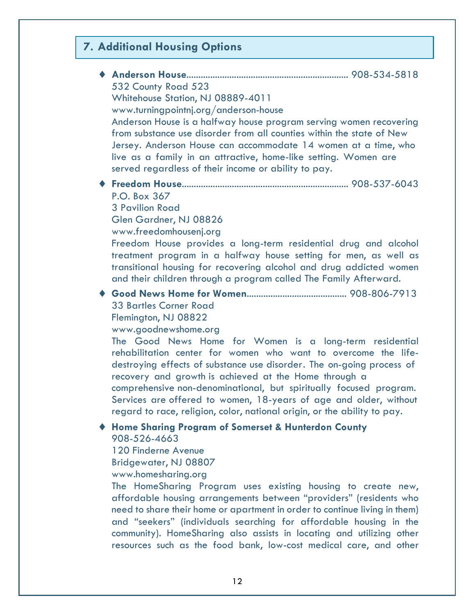# **7. Additional Housing Options**

| 532 County Road 523<br>Whitehouse Station, NJ 08889-4011<br>www.turningpointnj.org/anderson-house                                                                                                                                                                                                                                                                                                                                                                                  |
|------------------------------------------------------------------------------------------------------------------------------------------------------------------------------------------------------------------------------------------------------------------------------------------------------------------------------------------------------------------------------------------------------------------------------------------------------------------------------------|
| Anderson House is a halfway house program serving women recovering<br>from substance use disorder from all counties within the state of New<br>Jersey. Anderson House can accommodate 14 women at a time, who<br>live as a family in an attractive, home-like setting. Women are<br>served regardless of their income or ability to pay.                                                                                                                                           |
| P.O. Box 367<br><b>3 Pavilion Road</b><br>Glen Gardner, NJ 08826                                                                                                                                                                                                                                                                                                                                                                                                                   |
| www.freedomhousenj.org<br>Freedom House provides a long-term residential drug and alcohol<br>treatment program in a halfway house setting for men, as well as<br>transitional housing for recovering alcohol and drug addicted women<br>and their children through a program called The Family Afterward.                                                                                                                                                                          |
| <b>33 Bartles Corner Road</b><br>Flemington, NJ 08822<br>www.goodnewshome.org                                                                                                                                                                                                                                                                                                                                                                                                      |
| The Good News Home for Women is a long-term residential<br>rehabilitation center for women who want to overcome the life-<br>destroying effects of substance use disorder. The on-going process of<br>recovery and growth is achieved at the Home through a<br>comprehensive non-denominational, but spiritually focused program.<br>Services are offered to women, 18-years of age and older, without<br>regard to race, religion, color, national origin, or the ability to pay. |
| <b>Home Sharing Program of Somerset &amp; Hunterdon County</b><br>908-526-4663<br>120 Finderne Avenue<br>Bridgewater, NJ 08807<br>www.homesharing.org                                                                                                                                                                                                                                                                                                                              |
| The HomeSharing Program uses existing housing to create new,<br>affordable housing arrangements between "providers" (residents who<br>need to share their home or apartment in order to continue living in them)<br>and "seekers" (individuals searching for affordable housing in the                                                                                                                                                                                             |

12

community). HomeSharing also assists in locating and utilizing other resources such as the food bank, low-cost medical care, and other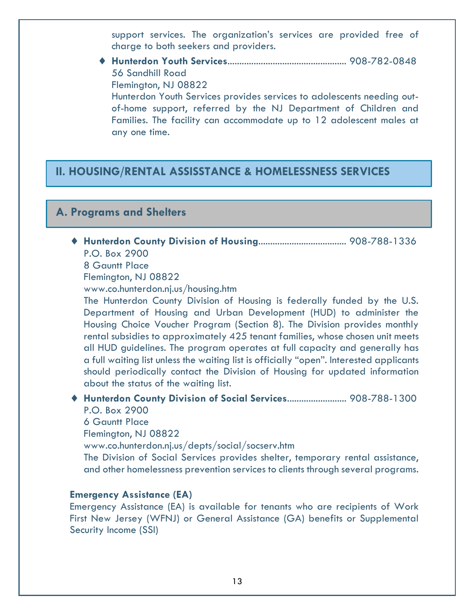support services. The organization's services are provided free of charge to both seekers and providers.

¨ **Hunterdon Youth Services**.................................................. 908-782-0848 56 Sandhill Road Flemington, NJ 08822 Hunterdon Youth Services provides services to adolescents needing outof-home support, referred by the NJ Department of Children and Families. The facility can accommodate up to 12 adolescent males at any one time.

# **II. HOUSING/RENTAL ASSISSTANCE & HOMELESSNESS SERVICES**

# **A. Programs and Shelters**

- ¨ **Hunterdon County Division of Housing**..................................... 908-788-1336 P.O. Box 2900
	- 8 Gauntt Place

Flemington, NJ 08822

www.co.hunterdon.nj.us/housing.htm

The Hunterdon County Division of Housing is federally funded by the U.S. Department of Housing and Urban Development (HUD) to administer the Housing Choice Voucher Program (Section 8). The Division provides monthly rental subsidies to approximately 425 tenant families, whose chosen unit meets all HUD guidelines. The program operates at full capacity and generally has a full waiting list unless the waiting list is officially "open". Interested applicants should periodically contact the Division of Housing for updated information about the status of the waiting list.

¨ **Hunterdon County Division of Social Services**......................... 908-788-1300 P.O. Box 2900

6 Gauntt Place

Flemington, NJ 08822

www.co.hunterdon.nj.us/depts/social/socserv.htm

The Division of Social Services provides shelter, temporary rental assistance, and other homelessness prevention services to clients through several programs.

#### **Emergency Assistance (EA)**

Emergency Assistance (EA) is available for tenants who are recipients of Work First New Jersey (WFNJ) or General Assistance (GA) benefits or Supplemental Security Income (SSI)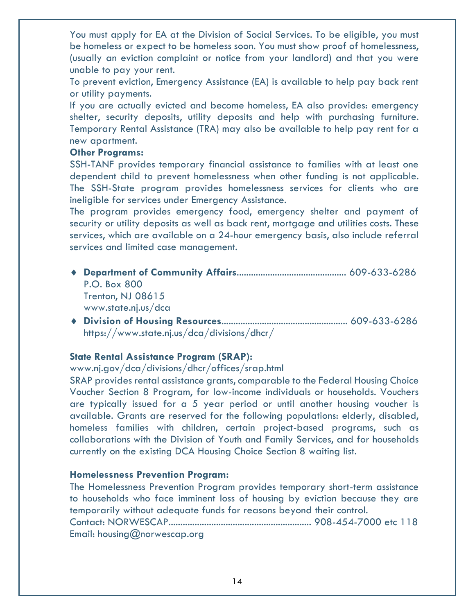You must apply for EA at the Division of Social Services. To be eligible, you must be homeless or expect to be homeless soon. You must show proof of homelessness, (usually an eviction complaint or notice from your landlord) and that you were unable to pay your rent.

To prevent eviction, Emergency Assistance (EA) is available to help pay back rent or utility payments.

If you are actually evicted and become homeless, EA also provides: emergency shelter, security deposits, utility deposits and help with purchasing furniture. Temporary Rental Assistance (TRA) may also be available to help pay rent for a new apartment.

#### **Other Programs:**

SSH-TANF provides temporary financial assistance to families with at least one dependent child to prevent homelessness when other funding is not applicable. The SSH-State program provides homelessness services for clients who are ineligible for services under Emergency Assistance.

The program provides emergency food, emergency shelter and payment of security or utility deposits as well as back rent, mortgage and utilities costs. These services, which are available on a 24-hour emergency basis, also include referral services and limited case management.

- ¨ **Department of Community Affairs**.............................................. 609-633-6286 P.O. Box 800 Trenton, NJ 08615 www.state.nj.us/dca
- ¨ **Division of Housing Resources**..................................................... 609-633-6286 https://www.state.nj.us/dca/divisions/dhcr/

#### **State Rental Assistance Program (SRAP):**

www.nj.gov/dca/divisions/dhcr/offices/srap.html

SRAP provides rental assistance grants, comparable to the Federal Housing Choice Voucher Section 8 Program, for low-income individuals or households. Vouchers are typically issued for a 5 year period or until another housing voucher is available. Grants are reserved for the following populations: elderly, disabled, homeless families with children, certain project-based programs, such as collaborations with the Division of Youth and Family Services, and for households currently on the existing DCA Housing Choice Section 8 waiting list.

#### **Homelessness Prevention Program:**

The Homelessness Prevention Program provides temporary short-term assistance to households who face imminent loss of housing by eviction because they are temporarily without adequate funds for reasons beyond their control. Contact: NORWESCAP............................................................ 908-454-7000 etc 118 Email: housing@norwescap.org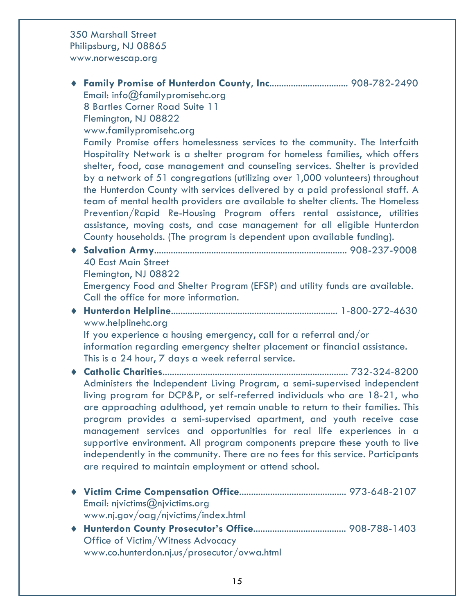350 Marshall Street Philipsburg, NJ 08865 www.norwescap.org

¨ **Family Promise of Hunterdon County, Inc**................................. 908-782-2490 Email: info@familypromisehc.org 8 Bartles Corner Road Suite 11 Flemington, NJ 08822 www.familypromisehc.org Family Promise offers homelessness services to the community. The Interfaith Hospitality Network is a shelter program for homeless families, which offers shelter, food, case management and counseling services. Shelter is provided by a network of 51 congregations (utilizing over 1,000 volunteers) throughout the Hunterdon County with services delivered by a paid professional staff. A team of mental health providers are available to shelter clients. The Homeless Prevention/Rapid Re-Housing Program offers rental assistance, utilities assistance, moving costs, and case management for all eligible Hunterdon County households. (The program is dependent upon available funding). ¨ **Salvation Army**................................................................................. 908-237-9008 40 East Main Street Flemington, NJ 08822 Emergency Food and Shelter Program (EFSP) and utility funds are available. Call the office for more information. ¨ **Hunterdon Helpline**...................................................................... 1-800-272-4630 www.helplinehc.org If you experience a housing emergency, call for a referral and/or information regarding emergency shelter placement or financial assistance. This is a 24 hour, 7 days a week referral service. ¨ **Catholic Charities**.............................................................................. 732-324-8200 Administers the Independent Living Program, a semi-supervised independent living program for DCP&P, or self-referred individuals who are 18-21, who are approaching adulthood, yet remain unable to return to their families. This program provides a semi-supervised apartment, and youth receive case management services and opportunities for real life experiences in a supportive environment. All program components prepare these youth to live independently in the community. There are no fees for this service. Participants are required to maintain employment or attend school. ¨ **Victim Crime Compensation Office**............................................. 973-648-2107 Email: njvictims@njvictims.org www.nj.gov/oag/njvictims/index.html ¨ **Hunterdon County Prosecutor's Office**....................................... 908-788-1403 Office of Victim/Witness Advocacy www.co.hunterdon.nj.us/prosecutor/ovwa.html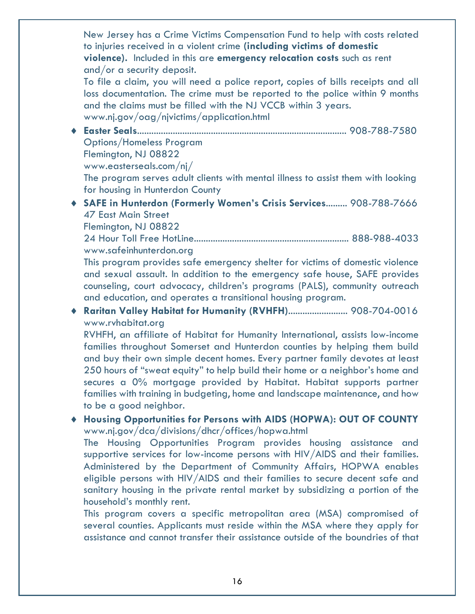New Jersey has a Crime Victims Compensation Fund to help with costs related to injuries received in a violent crime **(including victims of domestic violence).** Included in this are **emergency relocation costs** such as rent and/or a security deposit.

To file a claim, you will need a police report, copies of bills receipts and all loss documentation. The crime must be reported to the police within 9 months and the claims must be filled with the NJ VCCB within 3 years. www.nj.gov/oag/njvictims/application.html

¨ **Easter Seals**........................................................................................ 908-788-7580 Options/Homeless Program

Flemington, NJ 08822

www.easterseals.com/nj/

The program serves adult clients with mental illness to assist them with looking for housing in Hunterdon County

¨ **SAFE in Hunterdon (Formerly Women's Crisis Services**......... 908-788-7666 47 East Main Street

Flemington, NJ 08822

24 Hour Toll Free HotLine................................................................. 888-988-4033 www.safeinhunterdon.org

This program provides safe emergency shelter for victims of domestic violence and sexual assault. In addition to the emergency safe house, SAFE provides counseling, court advocacy, children's programs (PALS), community outreach and education, and operates a transitional housing program.

◆ Raritan Valley Habitat for Humanity (RVHFH).......................... 908-704-0016 www.rvhabitat.org

RVHFH, an affiliate of Habitat for Humanity International, assists low-income families throughout Somerset and Hunterdon counties by helping them build and buy their own simple decent homes. Every partner family devotes at least 250 hours of "sweat equity" to help build their home or a neighbor's home and secures a 0% mortgage provided by Habitat. Habitat supports partner families with training in budgeting, home and landscape maintenance, and how to be a good neighbor.

¨ **Housing Opportunities for Persons with AIDS (HOPWA): OUT OF COUNTY** www.nj.gov/dca/divisions/dhcr/offices/hopwa.html

The Housing Opportunities Program provides housing assistance and supportive services for low-income persons with HIV/AIDS and their families. Administered by the Department of Community Affairs, HOPWA enables eligible persons with HIV/AIDS and their families to secure decent safe and sanitary housing in the private rental market by subsidizing a portion of the household's monthly rent.

This program covers a specific metropolitan area (MSA) compromised of several counties. Applicants must reside within the MSA where they apply for assistance and cannot transfer their assistance outside of the boundries of that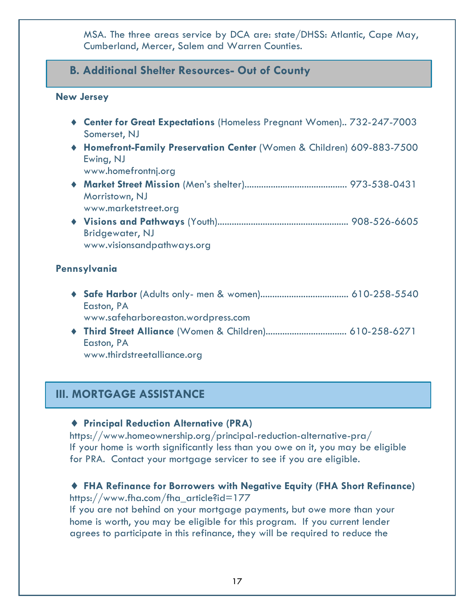MSA. The three areas service by DCA are: state/DHSS: Atlantic, Cape May, Cumberland, Mercer, Salem and Warren Counties.

# **B. Additional Shelter Resources- Out of County**

#### **New Jersey**

- ◆ **Center for Great Expectations** (Homeless Pregnant Women).. 732-247-7003 Somerset, NJ
- ¨ **Homefront-Family Preservation Center** (Women & Children) 609-883-7500 Ewing, NJ

www.homefrontnj.org

- ¨ **Market Street Mission** (Men's shelter)........................................... 973-538-0431 Morristown, NJ www.marketstreet.org
- ¨ **Visions and Pathways** (Youth)....................................................... 908-526-6605 Bridgewater, NJ www.visionsandpathways.org

#### **Pennsylvania**

- ¨ **Safe Harbor** (Adults only- men & women)..................................... 610-258-5540 Easton, PA www.safeharboreaston.wordpress.com
- ¨ **Third Street Alliance** (Women & Children).................................. 610-258-6271 Easton, PA www.thirdstreetalliance.org

# **III. MORTGAGE ASSISTANCE**

#### ◆ **Principal Reduction Alternative (PRA)**

https://www.homeownership.org/principal-reduction-alternative-pra/ If your home is worth significantly less than you owe on it, you may be eligible for PRA. Contact your mortgage servicer to see if you are eligible.

#### ◆ FHA Refinance for Borrowers with Negative Equity (FHA Short Refinance)

https://www.fha.com/fha\_article?id=177

If you are not behind on your mortgage payments, but owe more than your home is worth, you may be eligible for this program. If you current lender agrees to participate in this refinance, they will be required to reduce the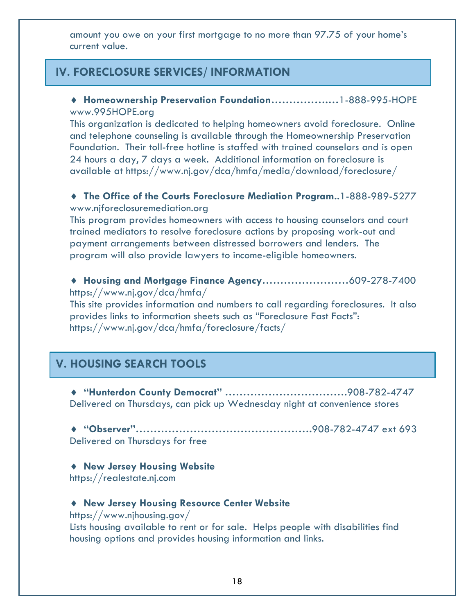amount you owe on your first mortgage to no more than 97.75 of your home's current value.

# **IV. FORECLOSURE SERVICES/ INFORMATION**

¨ **Homeownership Preservation Foundation…………….…**1-888-995-HOPE www.995HOPE.org

This organization is dedicated to helping homeowners avoid foreclosure. Online and telephone counseling is available through the Homeownership Preservation Foundation. Their toll-free hotline is staffed with trained counselors and is open 24 hours a day, 7 days a week. Additional information on foreclosure is available at https://www.nj.gov/dca/hmfa/media/download/foreclosure/

#### ◆ The Office of the Courts Foreclosure Mediation Program..1-888-989-5277 www.njforeclosuremediation.org

This program provides homeowners with access to housing counselors and court trained mediators to resolve foreclosure actions by proposing work-out and payment arrangements between distressed borrowers and lenders. The program will also provide lawyers to income-eligible homeowners.

◆ Housing and Mortgage Finance Agency.............................609-278-7400 https://www.nj.gov/dca/hmfa/

This site provides information and numbers to call regarding foreclosures. It also provides links to information sheets such as "Foreclosure Fast Facts": https://www.nj.gov/dca/hmfa/foreclosure/facts/

# **V. HOUSING SEARCH TOOLS**

¨ **"Hunterdon County Democrat" …………………………….**908-782-4747 Delivered on Thursdays, can pick up Wednesday night at convenience stores

¨ **"Observer"………………………………………….**908-782-4747 ext 693 Delivered on Thursdays for free

¨ **New Jersey Housing Website** https://realestate.nj.com

#### ◆ New Jersey Housing Resource Center Website

https://www.njhousing.gov/

Lists housing available to rent or for sale. Helps people with disabilities find housing options and provides housing information and links.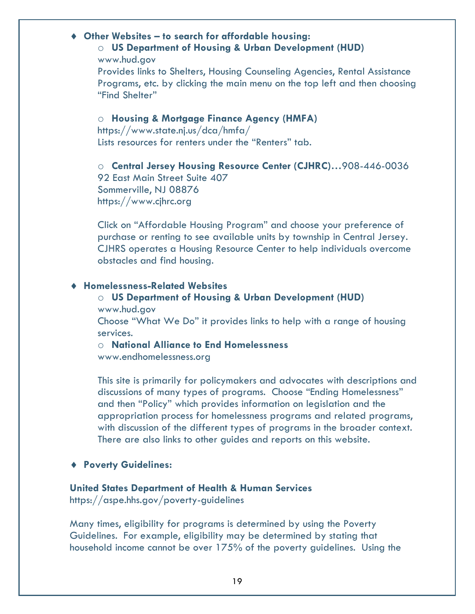#### ¨ **Other Websites – to search for affordable housing:**

o **US Department of Housing & Urban Development (HUD)** www.hud.gov

Provides links to Shelters, Housing Counseling Agencies, Rental Assistance Programs, etc. by clicking the main menu on the top left and then choosing "Find Shelter"

#### o **Housing & Mortgage Finance Agency (HMFA)**

https://www.state.nj.us/dca/hmfa/ Lists resources for renters under the "Renters" tab.

o **Central Jersey Housing Resource Center (CJHRC)…**908-446-0036 92 East Main Street Suite 407 Sommerville, NJ 08876 https://www.cjhrc.org

Click on "Affordable Housing Program" and choose your preference of purchase or renting to see available units by township in Central Jersey. CJHRS operates a Housing Resource Center to help individuals overcome obstacles and find housing.

#### ¨ **Homelessness-Related Websites**

# o **US Department of Housing & Urban Development (HUD)**

www.hud.gov

Choose "What We Do" it provides links to help with a range of housing services.

o **National Alliance to End Homelessness** www.endhomelessness.org

This site is primarily for policymakers and advocates with descriptions and discussions of many types of programs. Choose "Ending Homelessness" and then "Policy" which provides information on legislation and the appropriation process for homelessness programs and related programs, with discussion of the different types of programs in the broader context. There are also links to other guides and reports on this website.

#### ◆ **Poverty Guidelines:**

#### **United States Department of Health & Human Services**

https://aspe.hhs.gov/poverty-guidelines

Many times, eligibility for programs is determined by using the Poverty Guidelines. For example, eligibility may be determined by stating that household income cannot be over 175% of the poverty guidelines. Using the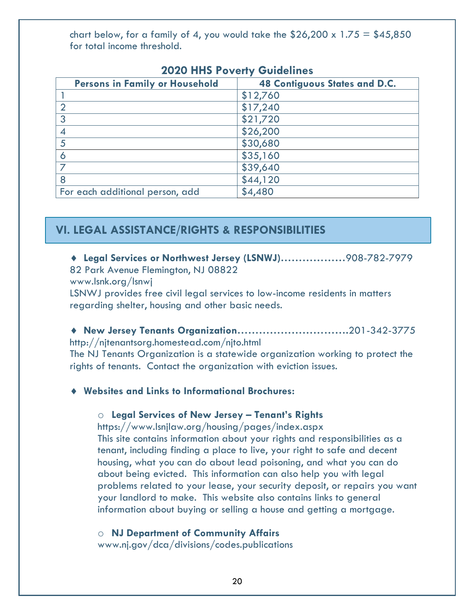chart below, for a family of 4, you would take the  $$26,200 \times 1.75 = $45,850$ for total income threshold.

| <b>EVED THIS LOVERY OUNCHILLS</b>     |                                      |  |
|---------------------------------------|--------------------------------------|--|
| <b>Persons in Family or Household</b> | <b>48 Contiguous States and D.C.</b> |  |
|                                       | \$12,760                             |  |
|                                       | \$17,240                             |  |
| 3                                     | \$21,720                             |  |
|                                       | \$26,200                             |  |
| 5                                     | \$30,680                             |  |
| 6                                     | \$35,160                             |  |
|                                       | \$39,640                             |  |
| 8                                     | \$44,120                             |  |
| For each additional person, add       | \$4,480                              |  |

# **2020 HHS Poverty Guidelines**

# **VI. LEGAL ASSISTANCE/RIGHTS & RESPONSIBILITIES**

# ¨ **Legal Services or Northwest Jersey (LSNWJ)………………**908-782-7979

82 Park Avenue Flemington, NJ 08822

www.lsnk.org/lsnwj

LSNWJ provides free civil legal services to low-income residents in matters regarding shelter, housing and other basic needs.

¨ **New Jersey Tenants Organization………………………….**201-342-3775 http://njtenantsorg.homestead.com/njto.html

The NJ Tenants Organization is a statewide organization working to protect the rights of tenants. Contact the organization with eviction issues.

#### ¨ **Websites and Links to Informational Brochures:**

#### o **Legal Services of New Jersey – Tenant's Rights**

https://www.lsnjlaw.org/housing/pages/index.aspx

This site contains information about your rights and responsibilities as a tenant, including finding a place to live, your right to safe and decent housing, what you can do about lead poisoning, and what you can do about being evicted. This information can also help you with legal problems related to your lease, your security deposit, or repairs you want your landlord to make. This website also contains links to general information about buying or selling a house and getting a mortgage.

o **NJ Department of Community Affairs**

www.nj.gov/dca/divisions/codes.publications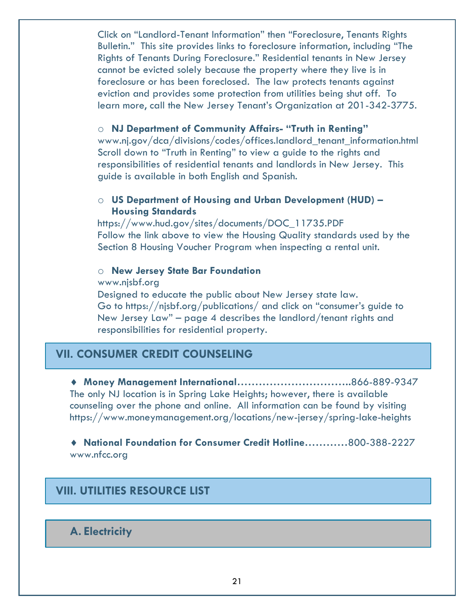Click on "Landlord-Tenant Information" then "Foreclosure, Tenants Rights Bulletin." This site provides links to foreclosure information, including "The Rights of Tenants During Foreclosure." Residential tenants in New Jersey cannot be evicted solely because the property where they live is in foreclosure or has been foreclosed. The law protects tenants against eviction and provides some protection from utilities being shut off. To learn more, call the New Jersey Tenant's Organization at 201-342-3775.

#### o **NJ Department of Community Affairs- "Truth in Renting"**

www.nj.gov/dca/divisions/codes/offices.landlord\_tenant\_information.html Scroll down to "Truth in Renting" to view a guide to the rights and responsibilities of residential tenants and landlords in New Jersey. This guide is available in both English and Spanish.

#### o **US Department of Housing and Urban Development (HUD) – Housing Standards**

https://www.hud.gov/sites/documents/DOC\_11735.PDF Follow the link above to view the Housing Quality standards used by the Section 8 Housing Voucher Program when inspecting a rental unit.

#### o **New Jersey State Bar Foundation**

www.njsbf.org

Designed to educate the public about New Jersey state law. Go to https://njsbf.org/publications/ and click on "consumer's guide to New Jersey Law" – page 4 describes the landlord/tenant rights and responsibilities for residential property.

### **VII. CONSUMER CREDIT COUNSELING**

¨ **Money Management International…………………………..**866-889-9347 The only NJ location is in Spring Lake Heights; however, there is available counseling over the phone and online. All information can be found by visiting https://www.moneymanagement.org/locations/new-jersey/spring-lake-heights

◆ National Foundation for Consumer Credit Hotline............800-388-2227 www.nfcc.org

# **VIII. UTILITIES RESOURCE LIST**

**A. Electricity**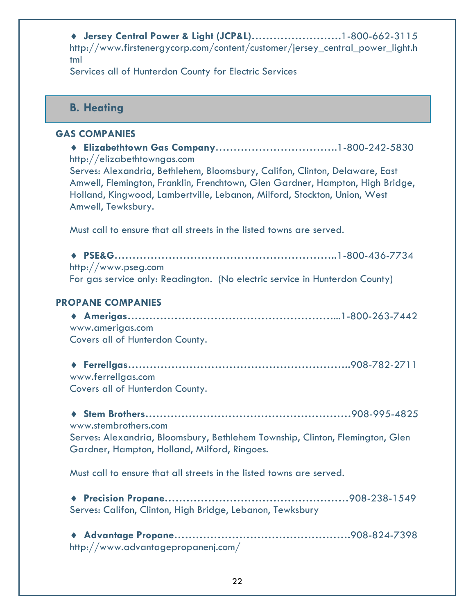¨ **Jersey Central Power & Light (JCP&L)…………………….**1-800-662-3115 http://www.firstenergycorp.com/content/customer/jersey\_central\_power\_light.h tml

Services all of Hunterdon County for Electric Services

### **B. Heating**

#### **GAS COMPANIES**

- ¨ **Elizabethtown Gas Company**…………………………….1-800-242-5830 http://elizabethtowngas.com Serves: Alexandria, Bethlehem, Bloomsbury, Califon, Clinton, Delaware, East Amwell, Flemington, Franklin, Frenchtown, Glen Gardner, Hampton, High Bridge, Holland, Kingwood, Lambertville, Lebanon, Milford, Stockton, Union, West Amwell, Tewksbury. Must call to ensure that all streets in the listed towns are served. ¨ **PSE&G……………………………………………………..**1-800-436-7734 http://www.pseg.com For gas service only: Readington. (No electric service in Hunterdon County) **PROPANE COMPANIES** ¨ **Amerigas…………………**………………………………...1-800-263-7442 www.amerigas.com Covers all of Hunterdon County. ¨ **Ferrellgas……………………………………………………..**908-782-2711 www.ferrellgas.com Covers all of Hunterdon County. ¨ **Stem Brothers…………………………………………………**908-995-4825 www.stembrothers.com Serves: Alexandria, Bloomsbury, Bethlehem Township, Clinton, Flemington, Glen Gardner, Hampton, Holland, Milford, Ringoes. Must call to ensure that all streets in the listed towns are served.
	- ¨ **Precision Propane……………………………………………**908-238-1549 Serves: Califon, Clinton, High Bridge, Lebanon, Tewksbury

¨ **Advantage Propane………………………………………….**908-824-7398 http://www.advantagepropanenj.com/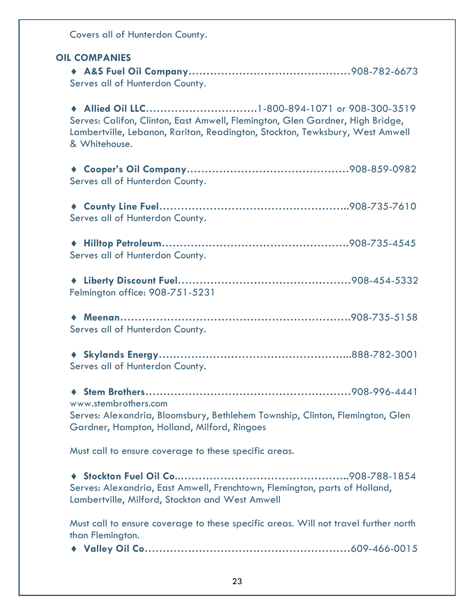Covers all of Hunterdon County. **OIL COMPANIES** ¨ **A&S Fuel Oil Company………………………………………**908-782-6673 Serves all of Hunterdon County. ¨ **Allied Oil LLC………………………….**1-800-894-1071 or 908-300-3519 Serves: Califon, Clinton, East Amwell, Flemington, Glen Gardner, High Bridge, Lambertville, Lebanon, Raritan, Readington, Stockton, Tewksbury, West Amwell & Whitehouse. ¨ **Cooper's Oil Company………………………………………**908-859-0982 Serves all of Hunterdon County. ¨ **County Line Fuel……………………………………………..**908-735-7610 Serves all of Hunterdon County. ¨ **Hilltop Petroleum…………………………………………….**908-735-4545 Serves all of Hunterdon County. ¨ **Liberty Discount Fuel…………………………………………**908-454-5332 Felmington office: 908-751-5231 ¨ **Meenan……………………………………………………….**908-735-5158 Serves all of Hunterdon County. ¨ **Skylands Energy……………………………………………...**888-782-3001 Serves all of Hunterdon County. ¨ **Stem Brothers…………………………………………………**908-996-4441 www.stembrothers.com Serves: Alexandria, Bloomsbury, Bethlehem Township, Clinton, Flemington, Glen Gardner, Hampton, Holland, Milford, Ringoes Must call to ensure coverage to these specific areas. ¨ **Stockton Fuel Oil Co..………………………………………..**908-788-1854 Serves: Alexandria, East Amwell, Frenchtown, Flemington, parts of Holland, Lambertville, Milford, Stockton and West Amwell Must call to ensure coverage to these specific areas. Will not travel further north than Flemington. ¨ **Valley Oil Co…………………………………………………**609-466-0015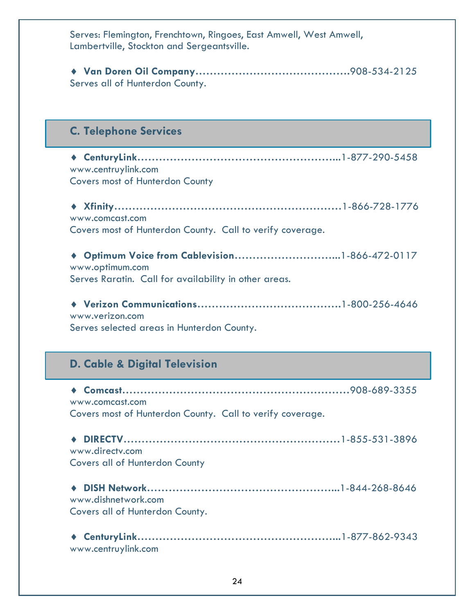Serves: Flemington, Frenchtown, Ringoes, East Amwell, West Amwell, Lambertville, Stockton and Sergeantsville.

¨ **Van Doren Oil Company…………………………………….**908-534-2125 Serves all of Hunterdon County.

# **C. Telephone Services**

◆ CenturyLink………………………………………………………1-877-290-5458 www.centruylink.com Covers most of Hunterdon County

| www.comcast.com                                           |  |
|-----------------------------------------------------------|--|
| Covers most of Hunterdon County. Call to verify coverage. |  |

¨ **Optimum Voice from Cablevision………………………...**1-866-472-0117 www.optimum.com Serves Raratin. Call for availability in other areas.

¨ **Verizon Communications………………………………….**1-800-256-4646 www.verizon.com Serves selected areas in Hunterdon County.

# **D. Cable & Digital Television**

¨ **Comcast………………………………………………………**908-689-3355 www.comcast.com Covers most of Hunterdon County. Call to verify coverage.

¨ **DIRECTV……………………………………………………**1-855-531-3896 www.directv.com Covers all of Hunterdon County

¨ **DISH Network……………………………………………...**1-844-268-8646 www.dishnetwork.com Covers all of Hunterdon County.

| www.centruylink.com |  |
|---------------------|--|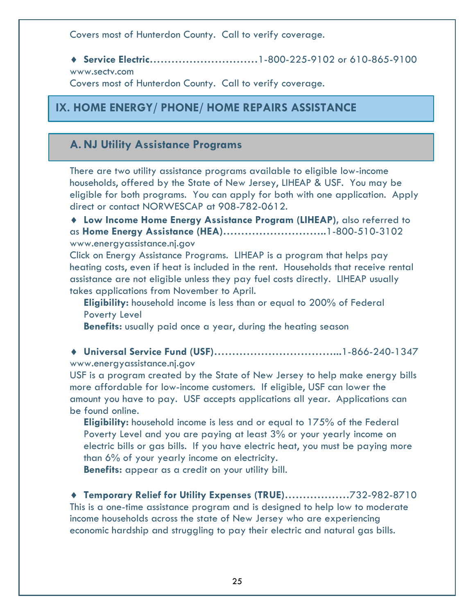Covers most of Hunterdon County. Call to verify coverage.

◆ Service Electric……………………………1-800-225-9102 or 610-865-9100 www.sectv.com

Covers most of Hunterdon County. Call to verify coverage.

# **IX. HOME ENERGY/ PHONE/ HOME REPAIRS ASSISTANCE**

# **A. NJ Utility Assistance Programs**

There are two utility assistance programs available to eligible low-income households, offered by the State of New Jersey, LIHEAP & USF. You may be eligible for both programs. You can apply for both with one application. Apply direct or contact NORWESCAP at 908-782-0612.

◆ Low Income Home Energy Assistance Program (LIHEAP), also referred to as **Home Energy Assistance (HEA)………………………..**1-800-510-3102 www.energyassistance.nj.gov

Click on Energy Assistance Programs. LIHEAP is a program that helps pay heating costs, even if heat is included in the rent. Households that receive rental assistance are not eligible unless they pay fuel costs directly. LIHEAP usually takes applications from November to April.

**Eligibility:** household income is less than or equal to 200% of Federal Poverty Level

**Benefits:** usually paid once a year, during the heating season

¨ **Universal Service Fund (USF)……………………………...**1-866-240-1347 www.energyassistance.nj.gov

USF is a program created by the State of New Jersey to help make energy bills more affordable for low-income customers. If eligible, USF can lower the amount you have to pay. USF accepts applications all year. Applications can be found online.

**Eligibility:** household income is less and or equal to 175% of the Federal Poverty Level and you are paying at least 3% or your yearly income on electric bills or gas bills. If you have electric heat, you must be paying more than 6% of your yearly income on electricity.

**Benefits:** appear as a credit on your utility bill.

◆ Temporary Relief for Utility Expenses (TRUE)...................732-982-8710 This is a one-time assistance program and is designed to help low to moderate income households across the state of New Jersey who are experiencing economic hardship and struggling to pay their electric and natural gas bills.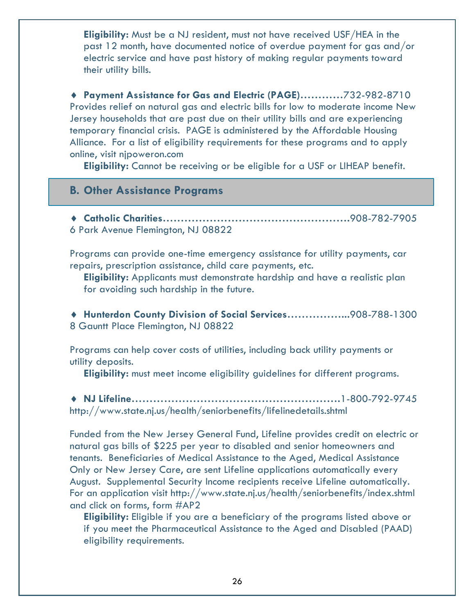**Eligibility:** Must be a NJ resident, must not have received USF/HEA in the past 12 month, have documented notice of overdue payment for gas and/or electric service and have past history of making regular payments toward their utility bills.

◆ Payment Assistance for Gas and Electric (PAGE)............732-982-8710 Provides relief on natural gas and electric bills for low to moderate income New Jersey households that are past due on their utility bills and are experiencing temporary financial crisis. PAGE is administered by the Affordable Housing Alliance. For a list of eligibility requirements for these programs and to apply online, visit njpoweron.com

**Eligibility:** Cannot be receiving or be eligible for a USF or LIHEAP benefit.

#### **B. Other Assistance Programs**

¨ **Catholic Charities…………………………………………….**908-782-7905 6 Park Avenue Flemington, NJ 08822

Programs can provide one-time emergency assistance for utility payments, car repairs, prescription assistance, child care payments, etc.

**Eligibility:** Applicants must demonstrate hardship and have a realistic plan for avoiding such hardship in the future.

¨ **Hunterdon County Division of Social Services……………...**908-788-1300 8 Gauntt Place Flemington, NJ 08822

Programs can help cover costs of utilities, including back utility payments or utility deposits.

**Eligibility:** must meet income eligibility guidelines for different programs.

¨ **NJ Lifeline………………………………………………….**1-800-792-9745 http://www.state.nj.us/health/seniorbenefits/lifelinedetails.shtml

Funded from the New Jersey General Fund, Lifeline provides credit on electric or natural gas bills of \$225 per year to disabled and senior homeowners and tenants. Beneficiaries of Medical Assistance to the Aged, Medical Assistance Only or New Jersey Care, are sent Lifeline applications automatically every August. Supplemental Security Income recipients receive Lifeline automatically. For an application visit http://www.state.nj.us/health/seniorbenefits/index.shtml and click on forms, form #AP2

**Eligibility:** Eligible if you are a beneficiary of the programs listed above or if you meet the Pharmaceutical Assistance to the Aged and Disabled (PAAD) eligibility requirements.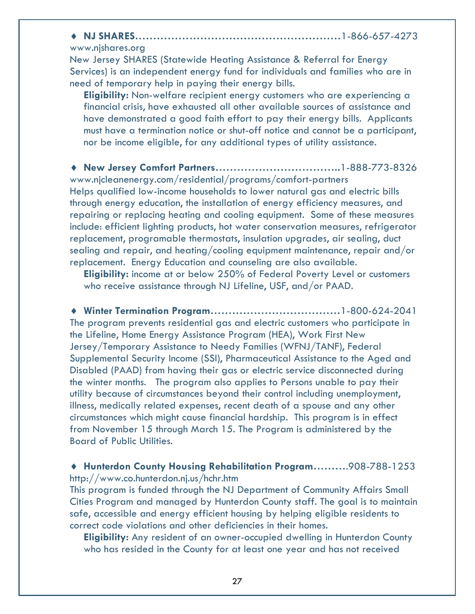¨ **NJ SHARES…………………………………………………**1-866-657-4273

#### www.njshares.org

New Jersey SHARES (Statewide Heating Assistance & Referral for Energy Services) is an independent energy fund for individuals and families who are in need of temporary help in paying their energy bills.

**Eligibility:** Non-welfare recipient energy customers who are experiencing a financial crisis, have exhausted all other available sources of assistance and have demonstrated a good faith effort to pay their energy bills. Applicants must have a termination notice or shut-off notice and cannot be a participant, nor be income eligible, for any additional types of utility assistance.

¨ **New Jersey Comfort Partners……………………………..**1-888-773-8326 www.njcleanenergy.com/residential/programs/comfort-partners Helps qualified low-income households to lower natural gas and electric bills through energy education, the installation of energy efficiency measures, and repairing or replacing heating and cooling equipment. Some of these measures include: efficient lighting products, hot water conservation measures, refrigerator replacement, programable thermostats, insulation upgrades, air sealing, duct sealing and repair, and heating/cooling equipment maintenance, repair and/or replacement. Energy Education and counseling are also available.

**Eligibility:** income at or below 250% of Federal Poverty Level or customers who receive assistance through NJ Lifeline, USF, and/or PAAD.

¨ **Winter Termination Program………………………………**1-800-624-2041 The program prevents residential gas and electric customers who participate in the Lifeline, Home Energy Assistance Program (HEA), Work First New Jersey/Temporary Assistance to Needy Families (WFNJ/TANF), Federal Supplemental Security Income (SSI), Pharmaceutical Assistance to the Aged and Disabled (PAAD) from having their gas or electric service disconnected during the winter months. The program also applies to Persons unable to pay their utility because of circumstances beyond their control including unemployment, illness, medically related expenses, recent death of a spouse and any other circumstances which might cause financial hardship. This program is in effect from November 15 through March 15. The Program is administered by the Board of Public Utilities.

#### ¨ **Hunterdon County Housing Rehabilitation Program………**.908-788-1253 http://www.co.hunterdon.nj.us/hchr.htm

This program is funded through the NJ Department of Community Affairs Small Cities Program and managed by Hunterdon County staff. The goal is to maintain safe, accessible and energy efficient housing by helping eligible residents to correct code violations and other deficiencies in their homes.

**Eligibility:** Any resident of an owner-occupied dwelling in Hunterdon County who has resided in the County for at least one year and has not received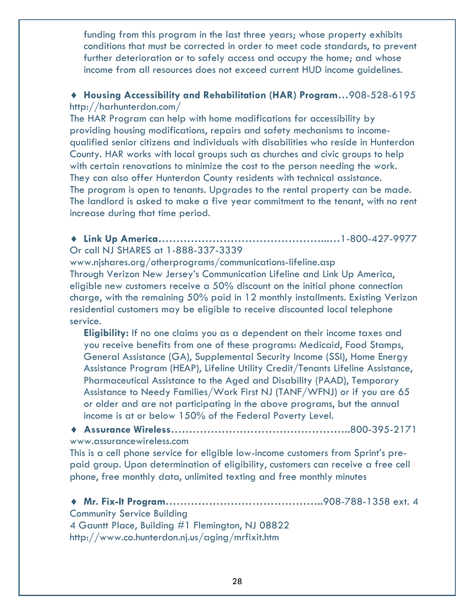funding from this program in the last three years; whose property exhibits conditions that must be corrected in order to meet code standards, to prevent further deterioration or to safely access and occupy the home; and whose income from all resources does not exceed current HUD income guidelines.

#### ¨ **Housing Accessibility and Rehabilitation (HAR) Program…**908-528-6195 http://harhunterdon.com/

The HAR Program can help with home modifications for accessibility by providing housing modifications, repairs and safety mechanisms to incomequalified senior citizens and individuals with disabilities who reside in Hunterdon County. HAR works with local groups such as churches and civic groups to help with certain renovations to minimize the cost to the person needing the work. They can also offer Hunterdon County residents with technical assistance. The program is open to tenants. Upgrades to the rental property can be made. The landlord is asked to make a five year commitment to the tenant, with no rent increase during that time period.

#### ¨ **Link Up America………………………………………...…**1-800-427-9977 Or call NJ SHARES at 1-888-337-3339

www.njshares.org/otherprograms/communications-lifeline.asp Through Verizon New Jersey's Communication Lifeline and Link Up America, eligible new customers receive a 50% discount on the initial phone connection charge, with the remaining 50% paid in 12 monthly installments. Existing Verizon residential customers may be eligible to receive discounted local telephone service.

**Eligibility:** If no one claims you as a dependent on their income taxes and you receive benefits from one of these programs: Medicaid, Food Stamps, General Assistance (GA), Supplemental Security Income (SSI), Home Energy Assistance Program (HEAP), Lifeline Utility Credit/Tenants Lifeline Assistance, Pharmaceutical Assistance to the Aged and Disability (PAAD), Temporary Assistance to Needy Families/Work First NJ (TANF/WFNJ) or if you are 65 or older and are not participating in the above programs, but the annual income is at or below 150% of the Federal Poverty Level.

¨ **Assurance Wireless…………………………………………..**800-395-2171 www.assurancewireless.com

This is a cell phone service for eligible low-income customers from Sprint's prepaid group. Upon determination of eligibility, customers can receive a free cell phone, free monthly data, unlimited texting and free monthly minutes

◆ Mr. Fix-It Program……………………………………………………………908-788-1358 ext. 4 Community Service Building 4 Gauntt Place, Building #1 Flemington, NJ 08822 http://www.co.hunterdon.nj.us/aging/mrfixit.htm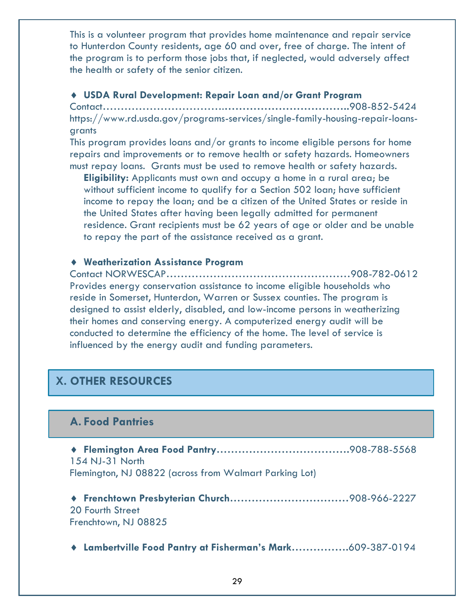This is a volunteer program that provides home maintenance and repair service to Hunterdon County residents, age 60 and over, free of charge. The intent of the program is to perform those jobs that, if neglected, would adversely affect the health or safety of the senior citizen.

#### ¨ **USDA Rural Development: Repair Loan and/or Grant Program**

Contact…………………………….**……………………………..**908-852-5424 https://www.rd.usda.gov/programs-services/single-family-housing-repair-loansgrants

This program provides loans and/or grants to income eligible persons for home repairs and improvements or to remove health or safety hazards. Homeowners must repay loans. Grants must be used to remove health or safety hazards.

**Eligibility:** Applicants must own and occupy a home in a rural area; be without sufficient income to qualify for a Section 502 loan; have sufficient income to repay the loan; and be a citizen of the United States or reside in the United States after having been legally admitted for permanent residence. Grant recipients must be 62 years of age or older and be unable to repay the part of the assistance received as a grant.

#### ¨ **Weatherization Assistance Program**

Contact NORWESCAP……………………………………………908-782-0612 Provides energy conservation assistance to income eligible households who reside in Somerset, Hunterdon, Warren or Sussex counties. The program is designed to assist elderly, disabled, and low-income persons in weatherizing their homes and conserving energy. A computerized energy audit will be conducted to determine the efficiency of the home. The level of service is influenced by the energy audit and funding parameters.

# **X. OTHER RESOURCES**

# **A. Food Pantries**

¨ **Flemington Area Food Pantry……………………………….**908-788-5568 154 NJ-31 North Flemington, NJ 08822 (across from Walmart Parking Lot)

¨ **Frenchtown Presbyterian Church……………………………**908-966-2227 20 Fourth Street Frenchtown, NJ 08825

¨ **Lambertville Food Pantry at Fisherman's Mark…………….**609-387-0194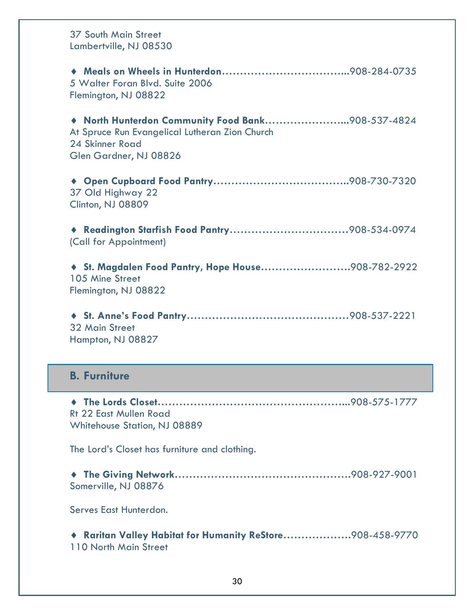| <b>37 South Main Street</b><br>Lambertville, NJ 08530                                                                                          |
|------------------------------------------------------------------------------------------------------------------------------------------------|
| 5 Walter Foran Blvd. Suite 2006<br>Flemington, NJ 08822                                                                                        |
| North Hunterdon Community Food Bank908-537-4824<br>At Spruce Run Evangelical Lutheran Zion Church<br>24 Skinner Road<br>Glen Gardner, NJ 08826 |
| $\bullet$<br>37 Old Highway 22<br>Clinton, NJ 08809                                                                                            |
| (Call for Appointment)                                                                                                                         |
| St. Magdalen Food Pantry, Hope House908-782-2922<br>105 Mine Street<br>Flemington, NJ 08822                                                    |
| <b>32 Main Street</b><br>Hampton, NJ 08827                                                                                                     |
| <b>B. Furniture</b>                                                                                                                            |
| <b>Rt 22 East Mullen Road</b><br>Whitehouse Station, NJ 08889                                                                                  |
| The Lord's Closet has furniture and clothing.                                                                                                  |
| Somerville, NJ 08876                                                                                                                           |
| Serves East Hunterdon.                                                                                                                         |
| Raritan Valley Habitat for Humanity ReStore908-458-9770<br>110 North Main Street                                                               |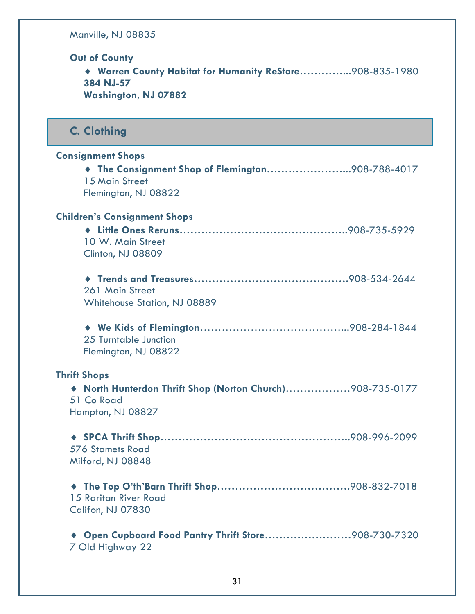Manville, NJ 08835

**Out of County**

¨ **Warren County Habitat for Humanity ReStore…………...**908-835-1980 **384 NJ-57 Washington, NJ 07882**

**C. Clothing**

| <b>Consignment Shops</b><br>The Consignment Shop of Flemington908-788-4017<br>15 Main Street<br>Flemington, NJ 08822 |  |
|----------------------------------------------------------------------------------------------------------------------|--|
| <b>Children's Consignment Shops</b><br>10 W. Main Street<br>Clinton, NJ 08809                                        |  |
| 261 Main Street<br><b>Whitehouse Station, NJ 08889</b>                                                               |  |
| 25 Turntable Junction<br>Flemington, NJ 08822                                                                        |  |
| <b>Thrift Shops</b><br>North Hunterdon Thrift Shop (Norton Church)908-735-0177<br>51 Co Road<br>Hampton, NJ 08827    |  |
| <b>576 Stamets Road</b><br>Milford, NJ 08848                                                                         |  |
| ۰<br>15 Raritan River Road<br>Califon, NJ 07830                                                                      |  |
| Open Cupboard Food Pantry Thrift Store908-730-7320<br>7 Old Highway 22                                               |  |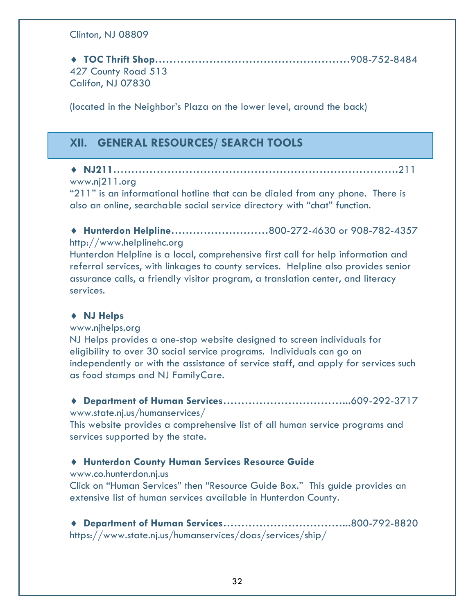#### Clinton, NJ 08809

¨ **TOC Thrift Shop………………………………………………**908-752-8484 427 County Road 513 Califon, NJ 07830

(located in the Neighbor's Plaza on the lower level, around the back)

# **XII. GENERAL RESOURCES/ SEARCH TOOLS**

# ¨ **NJ211…………………………………………………………………….**211

#### www.nj211.org

"211" is an informational hotline that can be dialed from any phone. There is also an online, searchable social service directory with "chat" function.

◆ Hunterdon Helpline...........................800-272-4630 or 908-782-4357 http://www.helplinehc.org

Hunterdon Helpline is a local, comprehensive first call for help information and referral services, with linkages to county services. Helpline also provides senior assurance calls, a friendly visitor program, a translation center, and literacy services.

#### ¨ **NJ Helps**

#### www.njhelps.org

NJ Helps provides a one-stop website designed to screen individuals for eligibility to over 30 social service programs. Individuals can go on independently or with the assistance of service staff, and apply for services such as food stamps and NJ FamilyCare.

¨ **Department of Human Services……………………………...**609-292-3717 www.state.nj.us/humanservices/

This website provides a comprehensive list of all human service programs and services supported by the state.

#### ¨ **Hunterdon County Human Services Resource Guide**

#### www.co.hunterdon.nj.us

Click on "Human Services" then "Resource Guide Box." This guide provides an extensive list of human services available in Hunterdon County.

¨ **Department of Human Services……………………………...**800-792-8820 https://www.state.nj.us/humanservices/doas/services/ship/